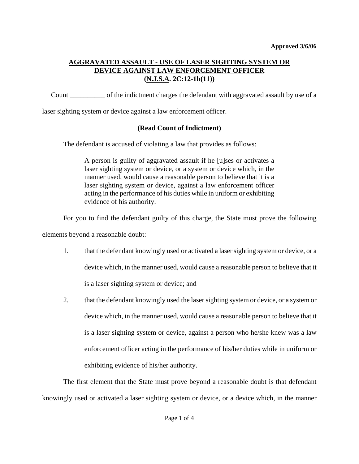# **AGGRAVATED ASSAULT - USE OF LASER SIGHTING SYSTEM OR DEVICE AGAINST LAW ENFORCEMENT OFFICER (N.J.S.A. 2C:12-1b(11))**

Count \_\_\_\_\_\_\_\_\_\_ of the indictment charges the defendant with aggravated assault by use of a

laser sighting system or device against a law enforcement officer.

# **(Read Count of Indictment)**

The defendant is accused of violating a law that provides as follows:

A person is guilty of aggravated assault if he [u]ses or activates a laser sighting system or device, or a system or device which, in the manner used, would cause a reasonable person to believe that it is a laser sighting system or device, against a law enforcement officer acting in the performance of his duties while in uniform or exhibiting evidence of his authority.

For you to find the defendant guilty of this charge, the State must prove the following

elements beyond a reasonable doubt:

- 1. that the defendant knowingly used or activated a laser sighting system or device, or a device which, in the manner used, would cause a reasonable person to believe that it is a laser sighting system or device; and
- 2. that the defendant knowingly used the laser sighting system or device, or a system or device which, in the manner used, would cause a reasonable person to believe that it is a laser sighting system or device, against a person who he/she knew was a law enforcement officer acting in the performance of his/her duties while in uniform or exhibiting evidence of his/her authority.

<span id="page-0-0"></span>The first element that the State must prove beyond a reasonable doubt is that defendant knowingly used or activated a laser sighting system or device, or a device which, in the manner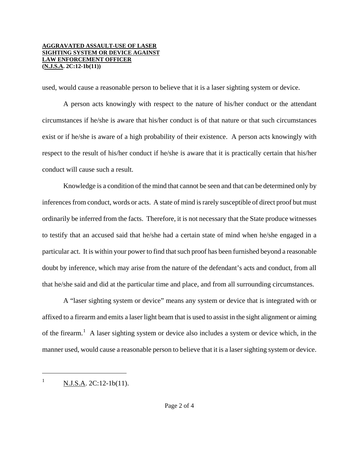#### **AGGRAVATED ASSAULT-USE OF LASER SIGHTING SYSTEM OR DEVICE AGAINST LAW ENFORCEMENT OFFICER (N.J.S.A. 2C:12-1b(11))**

used, would cause a reasonable person to believe that it is a laser sighting system or device.

A person acts knowingly with respect to the nature of his/her conduct or the attendant circumstances if he/she is aware that his/her conduct is of that nature or that such circumstances exist or if he/she is aware of a high probability of their existence. A person acts knowingly with respect to the result of his/her conduct if he/she is aware that it is practically certain that his/her conduct will cause such a result.

Knowledge is a condition of the mind that cannot be seen and that can be determined only by inferences from conduct, words or acts. A state of mind is rarely susceptible of direct proof but must ordinarily be inferred from the facts. Therefore, it is not necessary that the State produce witnesses to testify that an accused said that he/she had a certain state of mind when he/she engaged in a particular act. It is within your power to find that such proof has been furnished beyond a reasonable doubt by inference, which may arise from the nature of the defendant's acts and conduct, from all that he/she said and did at the particular time and place, and from all surrounding circumstances.

A "laser sighting system or device" means any system or device that is integrated with or affixed to a firearm and emits a laser light beam that is used to assist in the sight alignment or aiming of the firearm.<sup>[1](#page-0-0)</sup> A laser sighting system or device also includes a system or device which, in the manner used, would cause a reasonable person to believe that it is a laser sighting system or device.

<span id="page-1-0"></span>ł

<sup>1</sup> N.J.S.A. 2C:12-1b(11).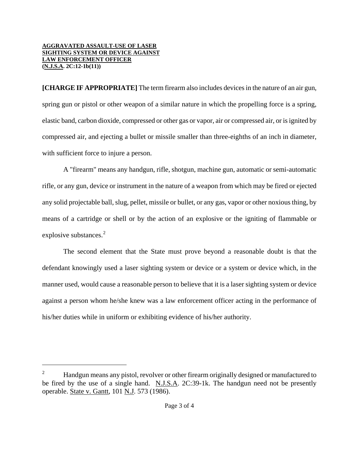## **AGGRAVATED ASSAULT-USE OF LASER SIGHTING SYSTEM OR DEVICE AGAINST LAW ENFORCEMENT OFFICER (N.J.S.A. 2C:12-1b(11))**

ł

**[CHARGE IF APPROPRIATE]** The term firearm also includes devices in the nature of an air gun, spring gun or pistol or other weapon of a similar nature in which the propelling force is a spring, elastic band, carbon dioxide, compressed or other gas or vapor, air or compressed air, or is ignited by compressed air, and ejecting a bullet or missile smaller than three-eighths of an inch in diameter, with sufficient force to injure a person.

A "firearm" means any handgun, rifle, shotgun, machine gun, automatic or semi-automatic rifle, or any gun, device or instrument in the nature of a weapon from which may be fired or ejected any solid projectable ball, slug, pellet, missile or bullet, or any gas, vapor or other noxious thing, by means of a cartridge or shell or by the action of an explosive or the igniting of flammable or explosive substances.<sup>[2](#page-1-0)</sup>

The second element that the State must prove beyond a reasonable doubt is that the defendant knowingly used a laser sighting system or device or a system or device which, in the manner used, would cause a reasonable person to believe that it is a laser sighting system or device against a person whom he/she knew was a law enforcement officer acting in the performance of his/her duties while in uniform or exhibiting evidence of his/her authority.

<span id="page-2-0"></span><sup>2</sup> Handgun means any pistol, revolver or other firearm originally designed or manufactured to be fired by the use of a single hand. N.J.S.A. 2C:39-1k. The handgun need not be presently operable. State v. Gantt, 101 N.J. 573 (1986).